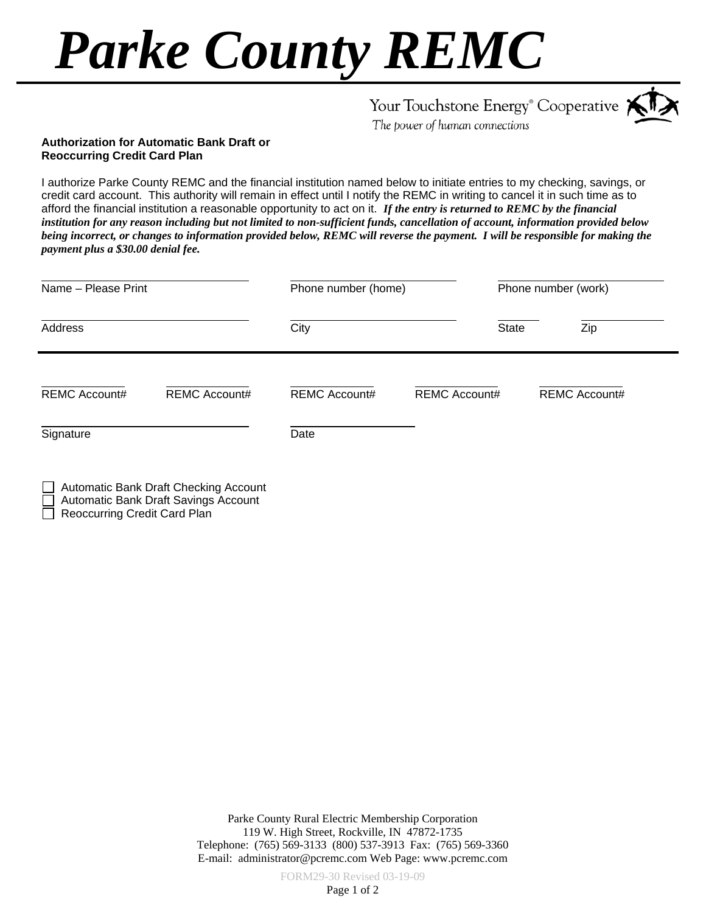## *Parke County REMC*

|      |  | Your Touchstone Energy <sup>®</sup> Cooperative $\bigstar$ |  |
|------|--|------------------------------------------------------------|--|
| $-1$ |  |                                                            |  |

The power of human connections

## **Authorization for Automatic Bank Draft or Reoccurring Credit Card Plan**

I authorize Parke County REMC and the financial institution named below to initiate entries to my checking, savings, or credit card account. This authority will remain in effect until I notify the REMC in writing to cancel it in such time as to afford the financial institution a reasonable opportunity to act on it. *If the entry is returned to REMC by the financial institution for any reason including but not limited to non-sufficient funds, cancellation of account, information provided below being incorrect, or changes to information provided below, REMC will reverse the payment. I will be responsible for making the payment plus a \$30.00 denial fee.*

| Name - Please Print  |                                       | Phone number (home)  |                      | Phone number (work)  |  |
|----------------------|---------------------------------------|----------------------|----------------------|----------------------|--|
| Address              |                                       | City                 | <b>State</b>         | Zip                  |  |
| <b>REMC Account#</b> | <b>REMC Account#</b>                  | <b>REMC Account#</b> | <b>REMC Account#</b> | <b>REMC Account#</b> |  |
| Signature            |                                       | Date                 |                      |                      |  |
|                      | Automatic Bank Draft Checking Account |                      |                      |                      |  |

Automatic Bank Draft Savings Account

Reoccurring Credit Card Plan

Parke County Rural Electric Membership Corporation 119 W. High Street, Rockville, IN 47872-1735 Telephone: (765) 569-3133 (800) 537-3913 Fax: (765) 569-3360 E-mail: administrator@pcremc.com Web Page: www.pcremc.com

FORM29-30 Revised 03-19-09